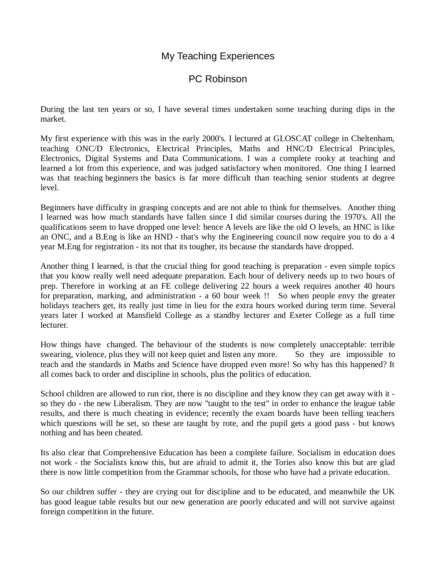## My Teaching Experiences

## PC Robinson

During the last ten years or so, I have several times undertaken some teaching during dips in the market.

My first experience with this was in the early 2000's. I lectured at GLOSCAT college in Cheltenham, teaching ONC/D Electronics, Electrical Principles, Maths and HNC/D Electrical Principles, Electronics, Digital Systems and Data Communications. I was a complete rooky at teaching and learned a lot from this experience, and was judged satisfactory when monitored. One thing I learned was that teaching beginners the basics is far more difficult than teaching senior students at degree level.

Beginners have difficulty in grasping concepts and are not able to think for themselves. Another thing I learned was how much standards have fallen since I did similar courses during the 1970's. All the qualifications seem to have dropped one level: hence A levels are like the old O levels, an HNC is like an ONC, and a B.Eng is like an HND - that's why the Engineering council now require you to do a 4 year M.Eng for registration - its not that its tougher, its because the standards have dropped.

Another thing I learned, is that the crucial thing for good teaching is preparation - even simple topics that you know really well need adequate preparation. Each hour of delivery needs up to two hours of prep. Therefore in working at an FE college delivering 22 hours a week requires another 40 hours for preparation, marking, and administration - a 60 hour week !! So when people envy the greater holidays teachers get, its really just time in lieu for the extra hours worked during term time. Several years later I worked at Mansfield College as a standby lecturer and Exeter College as a full time lecturer.

How things have changed. The behaviour of the students is now completely unacceptable: terrible swearing, violence, plus they will not keep quiet and listen any more. So they are impossible to teach and the standards in Maths and Science have dropped even more! So why has this happened? It all comes back to order and discipline in schools, plus the politics of education.

School children are allowed to run riot, there is no discipline and they know they can get away with it so they do - the new Liberalism. They are now "taught to the test" in order to enhance the league table results, and there is much cheating in evidence; recently the exam boards have been telling teachers which questions will be set, so these are taught by rote, and the pupil gets a good pass - but knows nothing and has been cheated.

Its also clear that Comprehensive Education has been a complete failure. Socialism in education does not work - the Socialists know this, but are afraid to admit it, the Tories also know this but are glad there is now little competition from the Grammar schools, for those who have had a private education.

So our children suffer - they are crying out for discipline and to be educated, and meanwhile the UK has good league table results but our new generation are poorly educated and will not survive against foreign competition in the future.